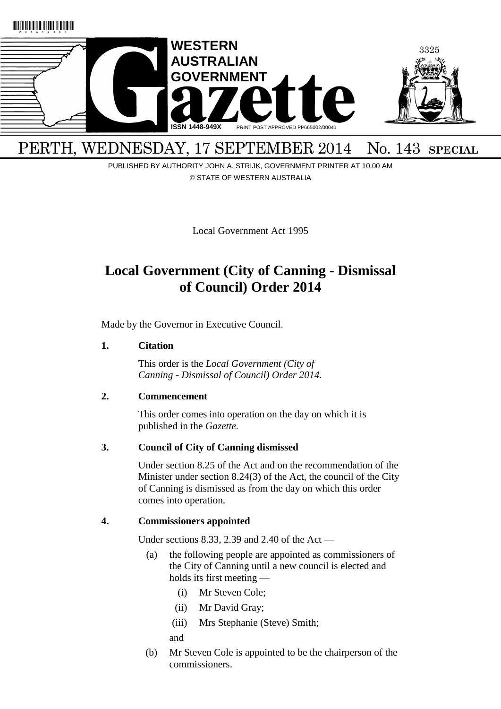

# PERTH, WEDNESDAY, 17 SEPTEMBER 2014 No. 143 SPECIAL

PUBLISHED BY AUTHORITY JOHN A. STRIJK, GOVERNMENT PRINTER AT 10.00 AM © STATE OF WESTERN AUSTRALIA

Local Government Act 1995

# **Local Government (City of Canning - Dismissal of Council) Order 2014**

Made by the Governor in Executive Council.

## **1. Citation**

This order is the *Local Government (City of Canning - Dismissal of Council) Order 2014*.

# **2. Commencement**

This order comes into operation on the day on which it is published in the *Gazette.*

# **3. Council of City of Canning dismissed**

Under section 8.25 of the Act and on the recommendation of the Minister under section 8.24(3) of the Act, the council of the City of Canning is dismissed as from the day on which this order comes into operation.

## **4. Commissioners appointed**

Under sections 8.33, 2.39 and 2.40 of the Act —

- (a) the following people are appointed as commissioners of the City of Canning until a new council is elected and holds its first meeting —
	- (i) Mr Steven Cole;
	- (ii) Mr David Gray;
	- (iii) Mrs Stephanie (Steve) Smith; and
- (b) Mr Steven Cole is appointed to be the chairperson of the commissioners.